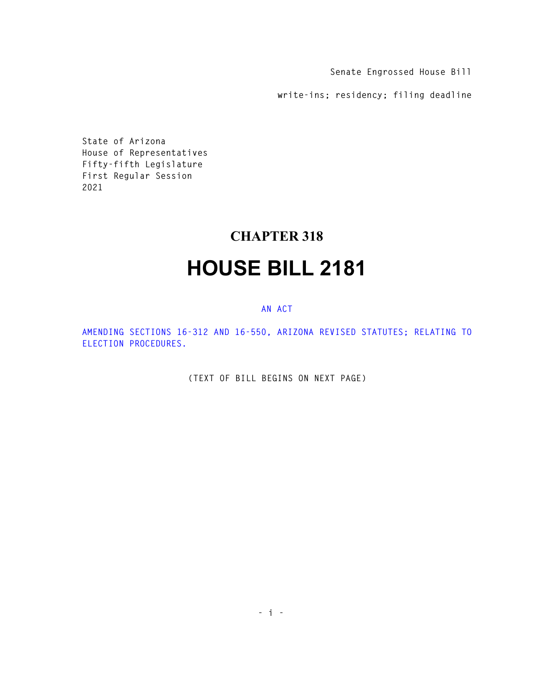**Senate Engrossed House Bill** 

**write-ins; residency; filing deadline** 

**State of Arizona House of Representatives Fifty-fifth Legislature First Regular Session 2021** 

## **CHAPTER 318**

## **HOUSE BILL 2181**

## **AN ACT**

**AMENDING SECTIONS 16-312 AND 16-550, ARIZONA REVISED STATUTES; RELATING TO ELECTION PROCEDURES.** 

**(TEXT OF BILL BEGINS ON NEXT PAGE)**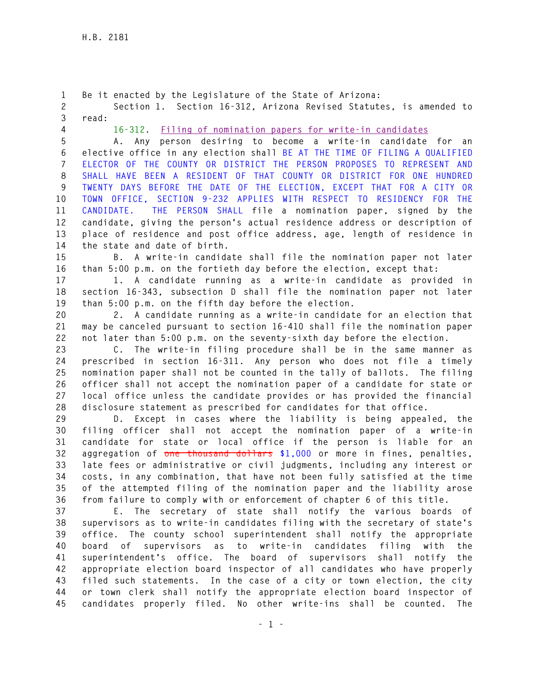**1 Be it enacted by the Legislature of the State of Arizona: 2 Section 1. Section 16-312, Arizona Revised Statutes, is amended to 3 read: 4 16-312. Filing of nomination papers for write-in candidates 5 A. Any person desiring to become a write-in candidate for an 6 elective office in any election shall BE AT THE TIME OF FILING A QUALIFIED 7 ELECTOR OF THE COUNTY OR DISTRICT THE PERSON PROPOSES TO REPRESENT AND 8 SHALL HAVE BEEN A RESIDENT OF THAT COUNTY OR DISTRICT FOR ONE HUNDRED 9 TWENTY DAYS BEFORE THE DATE OF THE ELECTION, EXCEPT THAT FOR A CITY OR 10 TOWN OFFICE, SECTION 9-232 APPLIES WITH RESPECT TO RESIDENCY FOR THE 11 CANDIDATE. THE PERSON SHALL file a nomination paper, signed by the 12 candidate, giving the person's actual residence address or description of 13 place of residence and post office address, age, length of residence in 14 the state and date of birth. 15 B. A write-in candidate shall file the nomination paper not later 16 than 5:00 p.m. on the fortieth day before the election, except that: 17 1. A candidate running as a write-in candidate as provided in 18 section 16-343, subsection D shall file the nomination paper not later 19 than 5:00 p.m. on the fifth day before the election. 20 2. A candidate running as a write-in candidate for an election that 21 may be canceled pursuant to section 16-410 shall file the nomination paper 22 not later than 5:00 p.m. on the seventy-sixth day before the election. 23 C. The write-in filing procedure shall be in the same manner as 24 prescribed in section 16-311. Any person who does not file a timely 25 nomination paper shall not be counted in the tally of ballots. The filing 26 officer shall not accept the nomination paper of a candidate for state or 27 local office unless the candidate provides or has provided the financial 28 disclosure statement as prescribed for candidates for that office. 29 D. Except in cases where the liability is being appealed, the 30 filing officer shall not accept the nomination paper of a write-in 31 candidate for state or local office if the person is liable for an 32 aggregation of one thousand dollars \$1,000 or more in fines, penalties, 33 late fees or administrative or civil judgments, including any interest or 34 costs, in any combination, that have not been fully satisfied at the time 35 of the attempted filing of the nomination paper and the liability arose 36 from failure to comply with or enforcement of chapter 6 of this title. 37 E. The secretary of state shall notify the various boards of 38 supervisors as to write-in candidates filing with the secretary of state's 39 office. The county school superintendent shall notify the appropriate 40 board of supervisors as to write-in candidates filing with the 41 superintendent's office. The board of supervisors shall notify the 42 appropriate election board inspector of all candidates who have properly 43 filed such statements. In the case of a city or town election, the city 44 or town clerk shall notify the appropriate election board inspector of 45 candidates properly filed. No other write-ins shall be counted. The**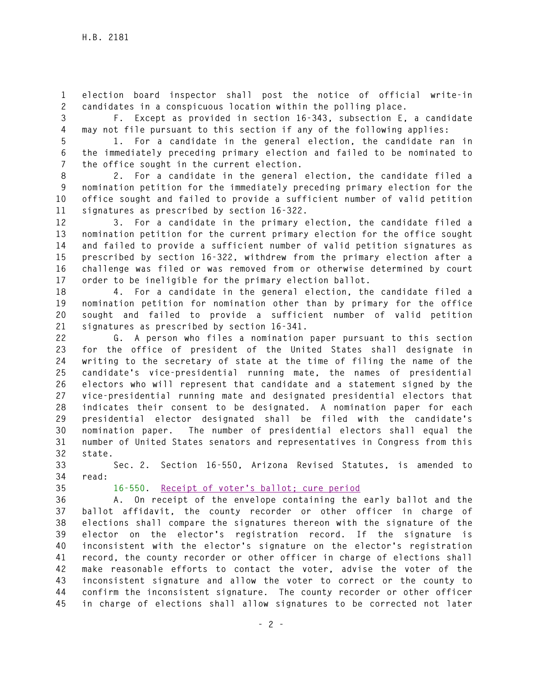**1 election board inspector shall post the notice of official write-in 2 candidates in a conspicuous location within the polling place.** 

**3 F. Except as provided in section 16-343, subsection E, a candidate 4 may not file pursuant to this section if any of the following applies:** 

**5 1. For a candidate in the general election, the candidate ran in 6 the immediately preceding primary election and failed to be nominated to 7 the office sought in the current election.** 

**8 2. For a candidate in the general election, the candidate filed a 9 nomination petition for the immediately preceding primary election for the 10 office sought and failed to provide a sufficient number of valid petition 11 signatures as prescribed by section 16-322.** 

**12 3. For a candidate in the primary election, the candidate filed a 13 nomination petition for the current primary election for the office sought 14 and failed to provide a sufficient number of valid petition signatures as 15 prescribed by section 16-322, withdrew from the primary election after a 16 challenge was filed or was removed from or otherwise determined by court 17 order to be ineligible for the primary election ballot.** 

**18 4. For a candidate in the general election, the candidate filed a 19 nomination petition for nomination other than by primary for the office 20 sought and failed to provide a sufficient number of valid petition 21 signatures as prescribed by section 16-341.** 

**22 G. A person who files a nomination paper pursuant to this section 23 for the office of president of the United States shall designate in 24 writing to the secretary of state at the time of filing the name of the 25 candidate's vice-presidential running mate, the names of presidential 26 electors who will represent that candidate and a statement signed by the 27 vice-presidential running mate and designated presidential electors that 28 indicates their consent to be designated. A nomination paper for each 29 presidential elector designated shall be filed with the candidate's 30 nomination paper. The number of presidential electors shall equal the 31 number of United States senators and representatives in Congress from this 32 state.** 

**33 Sec. 2. Section 16-550, Arizona Revised Statutes, is amended to 34 read:** 

**35 16-550. Receipt of voter's ballot; cure period**

**36 A. On receipt of the envelope containing the early ballot and the 37 ballot affidavit, the county recorder or other officer in charge of 38 elections shall compare the signatures thereon with the signature of the 39 elector on the elector's registration record. If the signature is 40 inconsistent with the elector's signature on the elector's registration 41 record, the county recorder or other officer in charge of elections shall 42 make reasonable efforts to contact the voter, advise the voter of the 43 inconsistent signature and allow the voter to correct or the county to 44 confirm the inconsistent signature. The county recorder or other officer 45 in charge of elections shall allow signatures to be corrected not later**